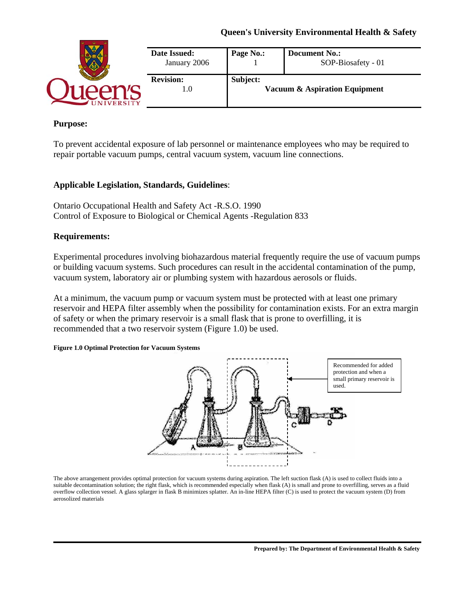# **Queen's University Environmental Health & Safety**

| Date Issued:<br>January 2006 | Page No.:                                            | <b>Document No.:</b><br>SOP-Biosafety - 01 |
|------------------------------|------------------------------------------------------|--------------------------------------------|
| <b>Revision:</b><br>1.O      | Subject:<br><b>Vacuum &amp; Aspiration Equipment</b> |                                            |

### **Purpose:**

To prevent accidental exposure of lab personnel or maintenance employees who may be required to repair portable vacuum pumps, central vacuum system, vacuum line connections.

### **Applicable Legislation, Standards, Guidelines**:

Ontario Occupational Health and Safety Act -R.S.O. 1990 Control of Exposure to Biological or Chemical Agents -Regulation 833

### **Requirements:**

Experimental procedures involving biohazardous material frequently require the use of vacuum pumps or building vacuum systems. Such procedures can result in the accidental contamination of the pump, vacuum system, laboratory air or plumbing system with hazardous aerosols or fluids.

At a minimum, the vacuum pump or vacuum system must be protected with at least one primary reservoir and HEPA filter assembly when the possibility for contamination exists. For an extra margin of safety or when the primary reservoir is a small flask that is prone to overfilling, it is recommended that a two reservoir system (Figure 1.0) be used.

#### **Figure 1.0 Optimal Protection for Vacuum Systems**



The above arrangement provides optimal protection for vacuum systems during aspiration. The left suction flask (A) is used to collect fluids into a suitable decontamination solution; the right flask, which is recommended especially when flask (A) is small and prone to overfilling, serves as a fluid overflow collection vessel. A glass splarger in flask B minimizes splatter. An in-line HEPA filter (C) is used to protect the vacuum system (D) from aerosolized materials